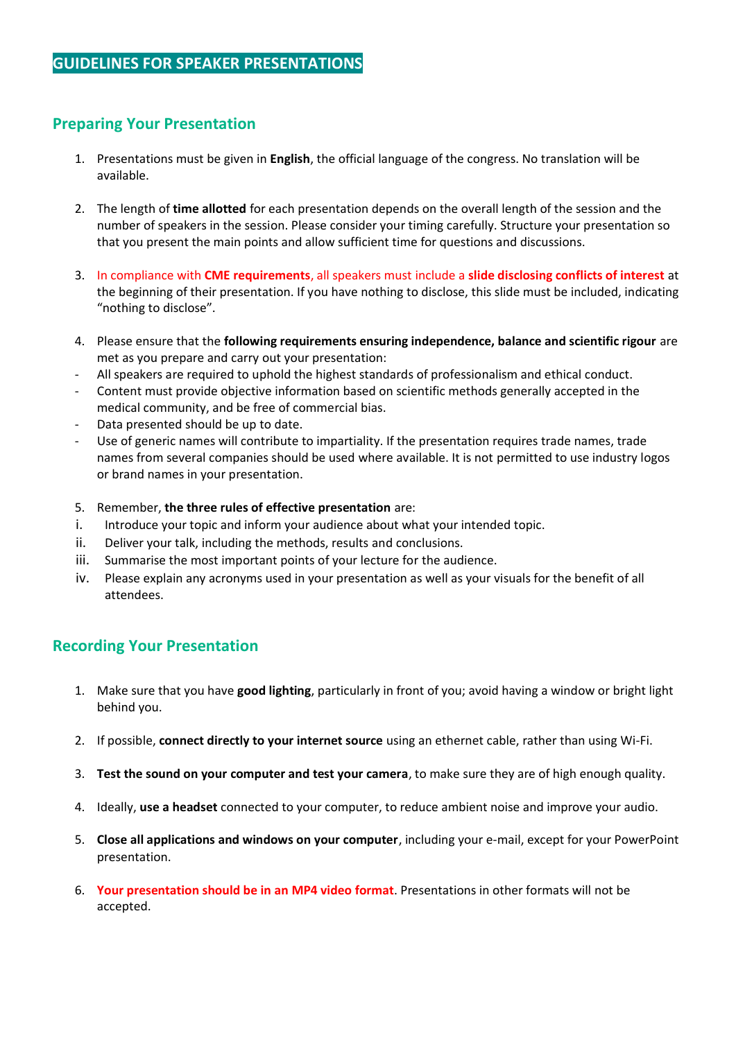# **Preparing Your Presentation**

- 1. Presentations must be given in **English**, the official language of the congress. No translation will be available.
- 2. The length of **time allotted** for each presentation depends on the overall length of the session and the number of speakers in the session. Please consider your timing carefully. Structure your presentation so that you present the main points and allow sufficient time for questions and discussions.
- 3. In compliance with **CME requirements**, all speakers must include a **slide disclosing conflicts of interest** at the beginning of their presentation. If you have nothing to disclose, this slide must be included, indicating "nothing to disclose".
- 4. Please ensure that the **following requirements ensuring independence, balance and scientific rigour** are met as you prepare and carry out your presentation:
- All speakers are required to uphold the highest standards of professionalism and ethical conduct.
- Content must provide objective information based on scientific methods generally accepted in the medical community, and be free of commercial bias.
- Data presented should be up to date.
- Use of generic names will contribute to impartiality. If the presentation requires trade names, trade names from several companies should be used where available. It is not permitted to use industry logos or brand names in your presentation.
- 5. Remember, **the three rules of effective presentation** are:
- i. Introduce your topic and inform your audience about what your intended topic.
- ii. Deliver your talk, including the methods, results and conclusions.
- iii. Summarise the most important points of your lecture for the audience.
- iv. Please explain any acronyms used in your presentation as well as your visuals for the benefit of all attendees.

## **Recording Your Presentation**

- 1. Make sure that you have **good lighting**, particularly in front of you; avoid having a window or bright light behind you.
- 2. If possible, **connect directly to your internet source** using an ethernet cable, rather than using Wi-Fi.
- 3. **Test the sound on your computer and test your camera**, to make sure they are of high enough quality.
- 4. Ideally, **use a headset** connected to your computer, to reduce ambient noise and improve your audio.
- 5. **Close all applications and windows on your computer**, including your e-mail, except for your PowerPoint presentation.
- 6. **Your presentation should be in an MP4 video format**. Presentations in other formats will not be accepted.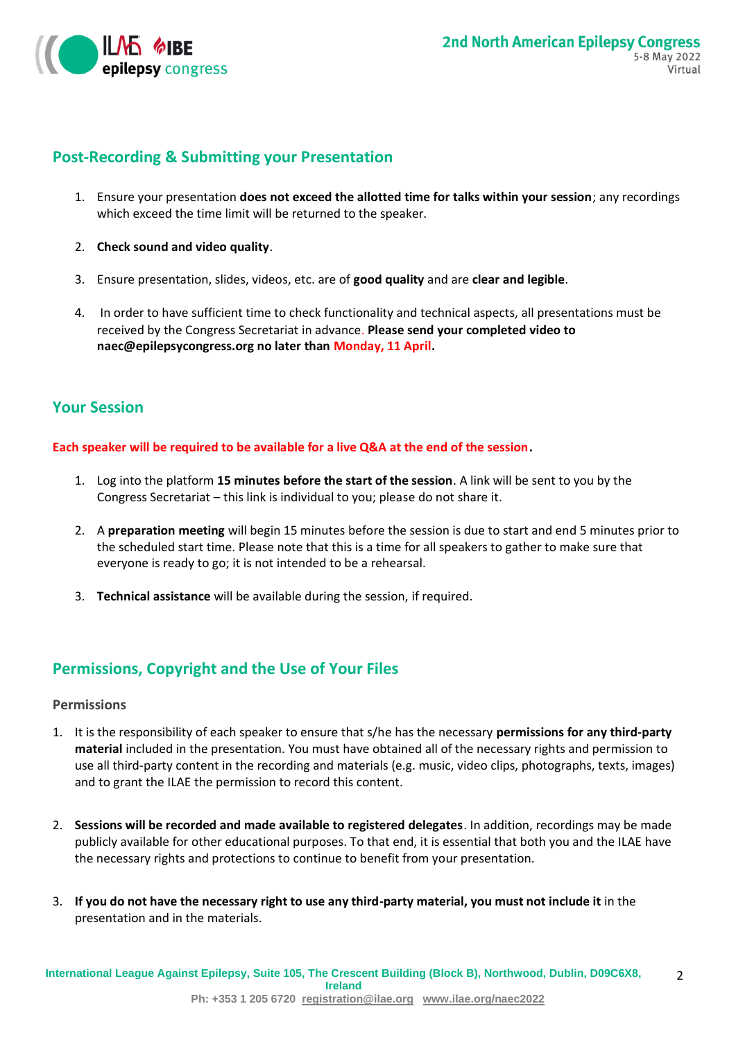

# **Post-Recording & Submitting your Presentation**

- 1. Ensure your presentation **does not exceed the allotted time for talks within your session**; any recordings which exceed the time limit will be returned to the speaker.
- 2. **Check sound and video quality**.
- 3. Ensure presentation, slides, videos, etc. are of **good quality** and are **clear and legible**.
- 4. In order to have sufficient time to check functionality and technical aspects, all presentations must be received by the Congress Secretariat in advance. **Please send your completed video to naec@epilepsycongress.org no later than Monday, 11 April.**

## **Your Session**

**Each speaker will be required to be available for a live Q&A at the end of the session.** 

- 1. Log into the platform **15 minutes before the start of the session**. A link will be sent to you by the Congress Secretariat – this link is individual to you; please do not share it.
- 2. A **preparation meeting** will begin 15 minutes before the session is due to start and end 5 minutes prior to the scheduled start time. Please note that this is a time for all speakers to gather to make sure that everyone is ready to go; it is not intended to be a rehearsal.
- 3. **Technical assistance** will be available during the session, if required.

# **Permissions, Copyright and the Use of Your Files**

### **Permissions**

- 1. It is the responsibility of each speaker to ensure that s/he has the necessary **permissions for any third-party material** included in the presentation. You must have obtained all of the necessary rights and permission to use all third-party content in the recording and materials (e.g. music, video clips, photographs, texts, images) and to grant the ILAE the permission to record this content.
- 2. **Sessions will be recorded and made available to registered delegates**. In addition, recordings may be made publicly available for other educational purposes. To that end, it is essential that both you and the ILAE have the necessary rights and protections to continue to benefit from your presentation.
- 3. **If you do not have the necessary right to use any third-party material, you must not include it** in the presentation and in the materials.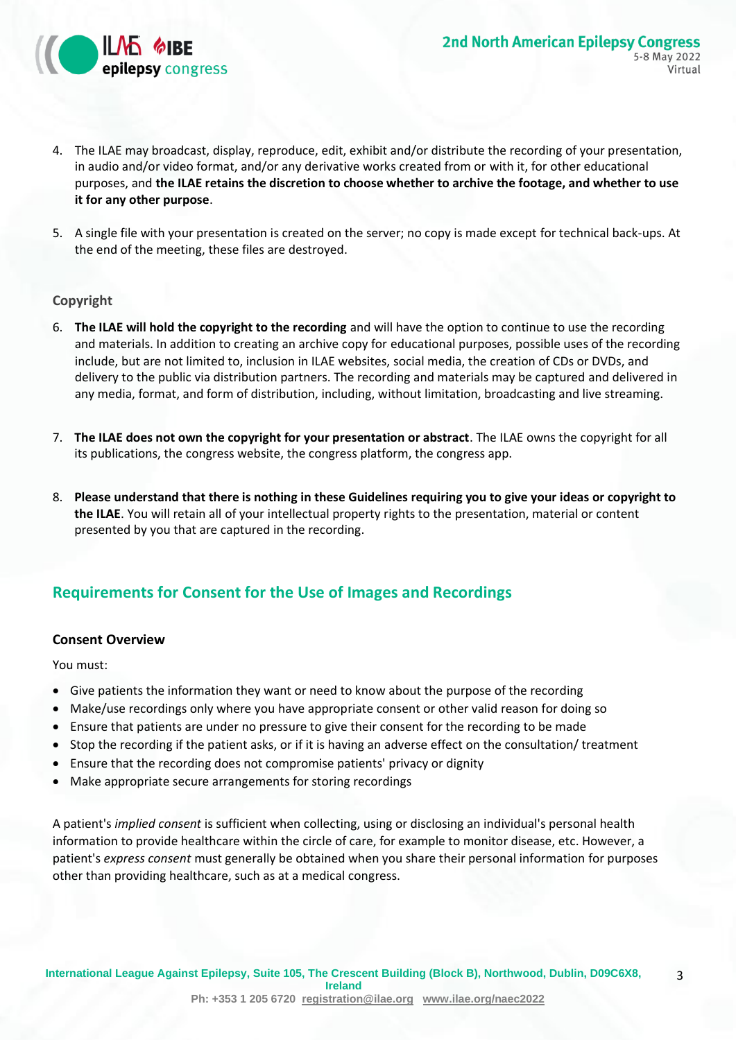

3

- 4. The ILAE may broadcast, display, reproduce, edit, exhibit and/or distribute the recording of your presentation, in audio and/or video format, and/or any derivative works created from or with it, for other educational purposes, and **the ILAE retains the discretion to choose whether to archive the footage, and whether to use it for any other purpose**.
- 5. A single file with your presentation is created on the server; no copy is made except for technical back-ups. At the end of the meeting, these files are destroyed.

### **Copyright**

- 6. **The ILAE will hold the copyright to the recording** and will have the option to continue to use the recording and materials. In addition to creating an archive copy for educational purposes, possible uses of the recording include, but are not limited to, inclusion in ILAE websites, social media, the creation of CDs or DVDs, and delivery to the public via distribution partners. The recording and materials may be captured and delivered in any media, format, and form of distribution, including, without limitation, broadcasting and live streaming.
- 7. **The ILAE does not own the copyright for your presentation or abstract**. The ILAE owns the copyright for all its publications, the congress website, the congress platform, the congress app.
- 8. **Please understand that there is nothing in these Guidelines requiring you to give your ideas or copyright to the ILAE**. You will retain all of your intellectual property rights to the presentation, material or content presented by you that are captured in the recording.

# **Requirements for Consent for the Use of Images and Recordings**

### **Consent Overview**

You must:

- Give patients the information they want or need to know about the purpose of the recording
- Make/use recordings only where you have appropriate consent or other valid reason for doing so
- Ensure that patients are under no pressure to give their consent for the recording to be made
- Stop the recording if the patient asks, or if it is having an adverse effect on the consultation/ treatment
- Ensure that the recording does not compromise patients' privacy or dignity
- Make appropriate secure arrangements for storing recordings

A patient's *implied consent* is sufficient when collecting, using or disclosing an individual's personal health information to provide healthcare within the circle of care, for example to monitor disease, etc. However, a patient's *express consent* must generally be obtained when you share their personal information for purposes other than providing healthcare, such as at a medical congress.